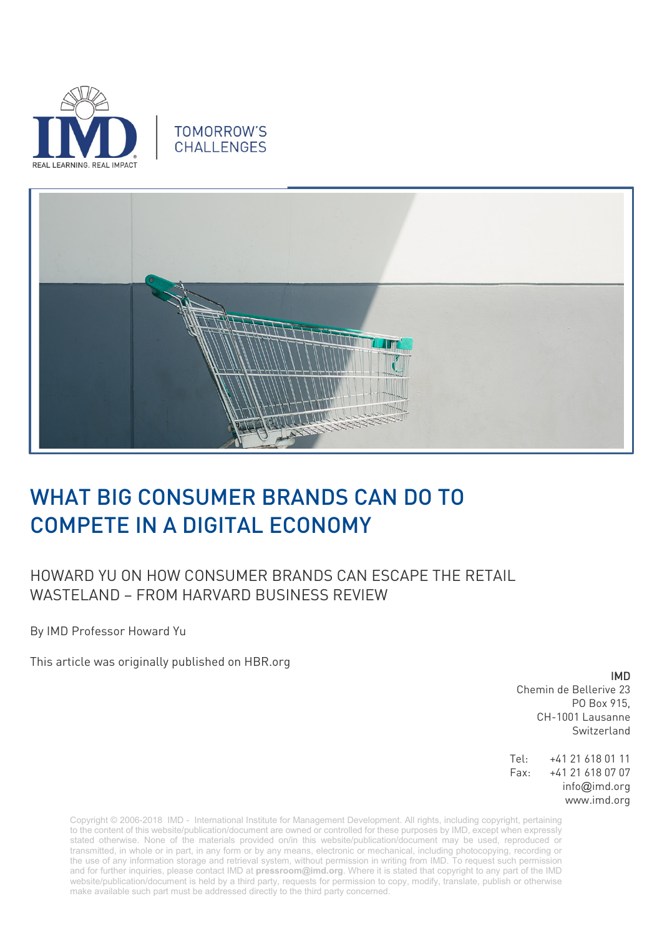

## **TOMORROW'S** CHALL FNGES



## WHAT BIG CONSUMER BRANDS CAN DO TO COMPETE IN A DIGITAL ECONOMY

## HOWARD YU ON HOW CONSUMER BRANDS CAN ESCAPE THE RETAIL WASTELAND – FROM HARVARD BUSINESS REVIEW

By IMD Professor Howard Yu

This article was originally published on HBR.org

IMD

Chemin de Bellerive 23 PO Box 915, CH-1001 Lausanne Switzerland

Tel: +41 21 618 01 11 Fax: +41 21 618 07 07 info@imd.org www.imd.org

Copyright © 2006-2018 IMD - International Institute for Management Development. All rights, including copyright, pertaining to the content of this website/publication/document are owned or controlled for these purposes by IMD, except when expressly stated otherwise. None of the materials provided on/in this website/publication/document may be used, reproduced or transmitted, in whole or in part, in any form or by any means, electronic or mechanical, including photocopying, recording or the use of any information storage and retrieval system, without permission in writing from IMD. To request such permission and for further inquiries, please contact IMD at **[pressroom@imd.org](mailto:pressroom@imd.org)**. Where it is stated that copyright to any part of the IMD website/publication/document is held by a third party, requests for permission to copy, modify, translate, publish or otherwise make available such part must be addressed directly to the third party concerned.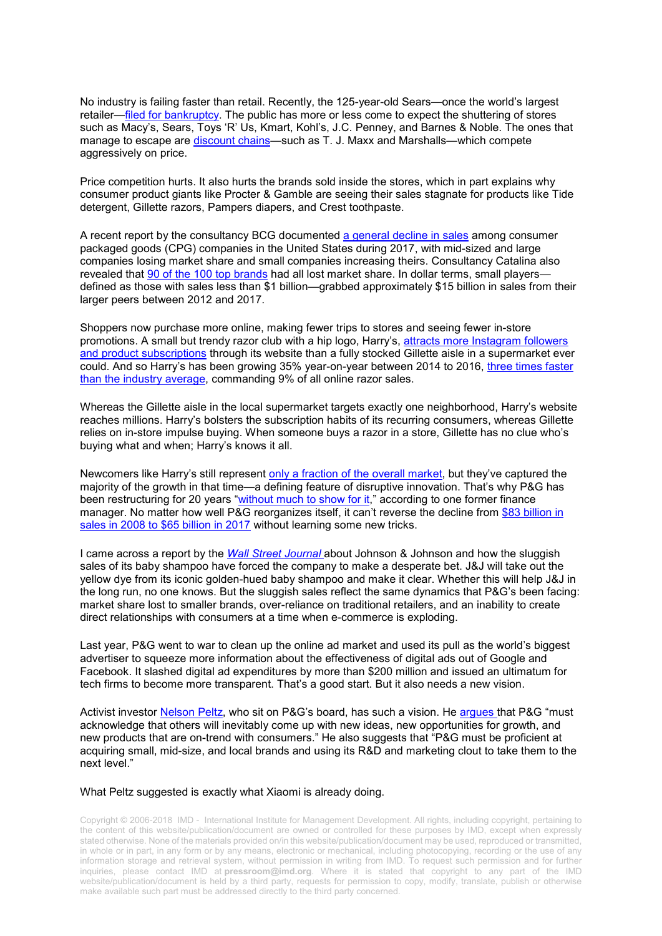No industry is failing faster than retail. Recently, the 125-year-old Sears—once the world's largest retailer[—filed for bankruptcy.](https://www.wsj.com/articles/sears-hires-advisers-to-prepare-bankruptcy-filing-1539136189) The public has more or less come to expect the shuttering of stores such as Macy's, Sears, Toys 'R' Us, Kmart, Kohl's, J.C. Penney, and Barnes & Noble. The ones that manage to escape are [discount chains—](https://www.retaildive.com/news/tjx-sales-surge-in-all-divisions/542712/)such as T. J. Maxx and Marshalls—which compete aggressively on price.

Price competition hurts. It also hurts the brands sold inside the stores, which in part explains why consumer product giants like Procter & Gamble are seeing their sales stagnate for products like Tide detergent, Gillette razors, Pampers diapers, and Crest toothpaste.

A recent report by the consultancy BCG documented [a general decline in sales](https://www.bcg.com/en-us/publications/2018/what-fastest-growing-consumer-packaged-goods-companies-do-differently.aspx) among consumer packaged goods (CPG) companies in the United States during 2017, with mid-sized and large companies losing market share and small companies increasing theirs. Consultancy Catalina also revealed that [90 of the 100 top brands](https://www.mediapost.com/publications/article/259293/top-100-cpg-brands-sales-market-share-down-even.html) had all lost market share. In dollar terms, small playersdefined as those with sales less than \$1 billion—grabbed approximately \$15 billion in sales from their larger peers between 2012 and 2017.

Shoppers now purchase more online, making fewer trips to stores and seeing fewer in-store promotions. A small but trendy razor club with a hip logo, Harry's, [attracts more Instagram followers](http://seenconnects.com/case-study/harrys-product-launch-uk/)  [and product subscriptions](http://seenconnects.com/case-study/harrys-product-launch-uk/) through its website than a fully stocked Gillette aisle in a supermarket ever could. And so Harry's has been growing 35% year-on-year between 2014 to 2016, [three times faster](http://intelligence.slice.com/blog/2016/harrys-growth-cut-manual-shaving-competitors)  [than the industry average,](http://intelligence.slice.com/blog/2016/harrys-growth-cut-manual-shaving-competitors) commanding 9% of all online razor sales.

Whereas the Gillette aisle in the local supermarket targets exactly one neighborhood, Harry's website reaches millions. Harry's bolsters the subscription habits of its recurring consumers, whereas Gillette relies on in-store impulse buying. When someone buys a razor in a store, Gillette has no clue who's buying what and when; Harry's knows it all.

Newcomers like Harry's still represent [only a fraction of the overall market,](https://triblive.com/business/headlines/14118900-74/harrys-shaving-club-shook-up-the-razor-market-whats-next) but they've captured the majority of the growth in that time—a defining feature of disruptive innovation. That's why P&G has been restructuring for 20 years ["without much to show for it,](https://www.nytimes.com/2017/10/08/business/economy/an-epic-and-costly-boardroom-battle-at-procter-gamble.html)" according to one former finance manager. No matter how well P&G reorganizes itself, it can't reverse the decline from [\\$83 billion in](https://www.wsj.com/articles/p-g-proxy-fight-pits-former-finance-chief-against-longtime-protege-1504549919?mod=article_inline#_=_)  [sales in 2008 to \\$65 billion in 2017](https://www.wsj.com/articles/p-g-proxy-fight-pits-former-finance-chief-against-longtime-protege-1504549919?mod=article_inline#_=_) without learning some new tricks.

I came across a report by the *[Wall Street Journal](https://www.wsj.com/articles/bringing-up-babys-market-share-at-j-j-1540612886)* about Johnson & Johnson and how the sluggish sales of its baby shampoo have forced the company to make a desperate bet. J&J will take out the yellow dye from its iconic golden-hued baby shampoo and make it clear. Whether this will help J&J in the long run, no one knows. But the sluggish sales reflect the same dynamics that P&G's been facing: market share lost to smaller brands, over-reliance on traditional retailers, and an inability to create direct relationships with consumers at a time when e-commerce is exploding.

Last year, P&G went to war to clean up the online ad market and used its pull as the world's biggest advertiser to squeeze more information about the effectiveness of digital ads out of Google and Facebook. It slashed digital ad expenditures by more than \$200 million and issued an ultimatum for tech firms to become more transparent. That's a good start. But it also needs a new vision.

Activist investor [Nelson Peltz,](https://www.wsj.com/articles/trian-details-its-case-for-changes-at-p-g-in-white-paper-1504733738) who sit on P&G's board, has such a vision. He [argues](https://trianpartners.com/content/uploads/2017/01/Trian-PG-White-Paper-9.6.17-1.pdf) that P&G "must acknowledge that others will inevitably come up with new ideas, new opportunities for growth, and new products that are on-trend with consumers." He also suggests that "P&G must be proficient at acquiring small, mid-size, and local brands and using its R&D and marketing clout to take them to the next level."

## What Peltz suggested is exactly what Xiaomi is already doing.

Copyright © 2006-2018 IMD - International Institute for Management Development. All rights, including copyright, pertaining to the content of this website/publication/document are owned or controlled for these purposes by IMD, except when expressly stated otherwise. None of the materials provided on/in this website/publication/document may be used, reproduced or transmitted, in whole or in part, in any form or by any means, electronic or mechanical, including photocopying, recording or the use of any information storage and retrieval system, without permission in writing from IMD. To request such permission and for further inquiries, please contact IMD at **[pressroom@imd.org](mailto:pressroom@imd.org)**. Where it is stated that copyright to any part of the IMD website/publication/document is held by a third party, requests for permission to copy, modify, translate, publish or otherwise make available such part must be addressed directly to the third party concerned.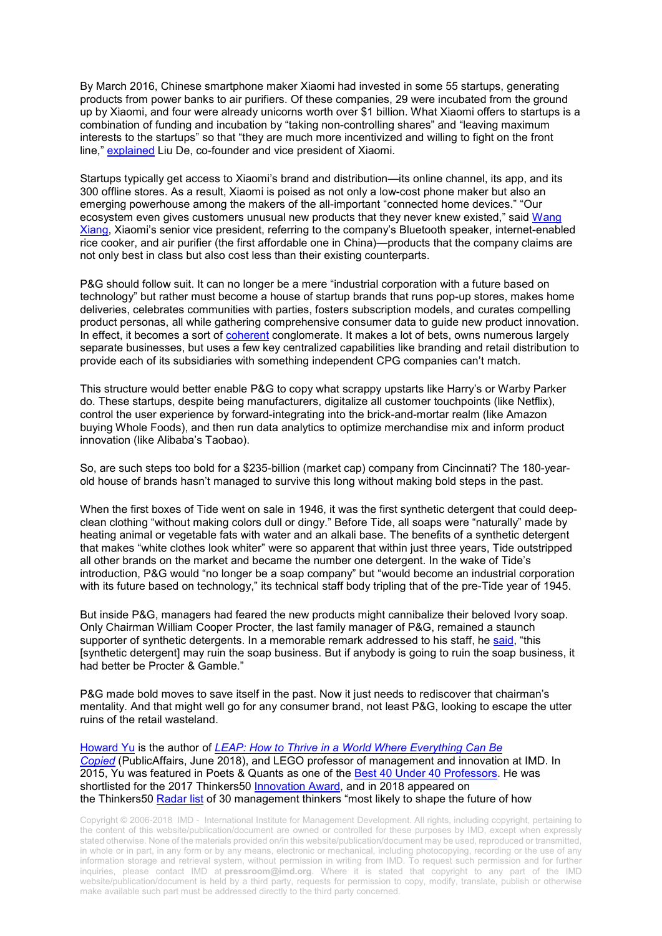By March 2016, Chinese smartphone maker Xiaomi had invested in some 55 startups, generating products from power banks to air purifiers. Of these companies, 29 were incubated from the ground up by Xiaomi, and four were already unicorns worth over \$1 billion. What Xiaomi offers to startups is a combination of funding and incubation by "taking non-controlling shares" and "leaving maximum interests to the startups" so that "they are much more incentivized and willing to fight on the front line," [explained](https://www.techinasia.com/xiaomi-ecosystem) Liu De, co-founder and vice president of Xiaomi.

Startups typically get access to Xiaomi's brand and distribution—its online channel, its app, and its 300 offline stores. As a result, Xiaomi is poised as not only a low-cost phone maker but also an emerging powerhouse among the makers of the all-important "connected home devices." "Our ecosystem even gives customers unusual new products that they never knew existed," said [Wang](https://www.investopedia.com/news/how-xiaomi-makes-money/#ixzz5F8e000tB)  [Xiang,](https://www.investopedia.com/news/how-xiaomi-makes-money/#ixzz5F8e000tB) Xiaomi's senior vice president, referring to the company's Bluetooth speaker, internet-enabled rice cooker, and air purifier (the first affordable one in China)—products that the company claims are not only best in class but also cost less than their existing counterparts.

P&G should follow suit. It can no longer be a mere "industrial corporation with a future based on technology" but rather must become a house of startup brands that runs pop-up stores, makes home deliveries, celebrates communities with parties, fosters subscription models, and curates compelling product personas, all while gathering comprehensive consumer data to guide new product innovation. In effect, it becomes a sort of [coherent](https://hbr.org/2012/06/the-coherent-conglomerate) conglomerate. It makes a lot of bets, owns numerous largely separate businesses, but uses a few key centralized capabilities like branding and retail distribution to provide each of its subsidiaries with something independent CPG companies can't match.

This structure would better enable P&G to copy what scrappy upstarts like Harry's or Warby Parker do. These startups, despite being manufacturers, digitalize all customer touchpoints (like Netflix), control the user experience by forward-integrating into the brick-and-mortar realm (like Amazon buying Whole Foods), and then run data analytics to optimize merchandise mix and inform product innovation (like Alibaba's Taobao).

So, are such steps too bold for a \$235-billion (market cap) company from Cincinnati? The 180-yearold house of brands hasn't managed to survive this long without making bold steps in the past.

When the first boxes of Tide went on sale in 1946, it was the first synthetic detergent that could deepclean clothing "without making colors dull or dingy." Before Tide, all soaps were "naturally" made by heating animal or vegetable fats with water and an alkali base. The benefits of a synthetic detergent that makes "white clothes look whiter" were so apparent that within just three years, Tide outstripped all other brands on the market and became the number one detergent. In the wake of Tide's introduction, P&G would "no longer be a soap company" but "would become an industrial corporation with its future based on technology," its technical staff body tripling that of the pre-Tide year of 1945.

But inside P&G, managers had feared the new products might cannibalize their beloved Ivory soap. Only Chairman William Cooper Procter, the last family manager of P&G, remained a staunch supporter of synthetic detergents. In a memorable remark addressed to his staff, he [said,](https://books.google.ch/books?id=_GU4DwAAQBAJ&pg=PT91&lpg=PT91&dq=This+%5Bsynthetic+detergent%5D+may+ruin+the+soap+business.+But+if+anybody+is+going+to+ruin+the+soap+business,+it+had+better+be+Procter+%26+Gamble.&source=bl&ots=Vj5Y_Lt7qo&sig=fx3BFpMWzsbyXBDGOdgh6YQ6ljQ&hl=en&sa=X&redir_esc=y#v=onepage&q&f=false) "this [synthetic detergent] may ruin the soap business. But if anybody is going to ruin the soap business, it had better be Procter & Gamble."

P&G made bold moves to save itself in the past. Now it just needs to rediscover that chairman's mentality. And that might well go for any consumer brand, not least P&G, looking to escape the utter ruins of the retail wasteland.

[Howard Yu](https://www.imd.org/faculty/professors/howard_yu/) is the author of *[LEAP: How to Thrive in a World Where Everything Can Be](http://www.howardyu.org/)  [Copied](http://www.howardyu.org/)* (PublicAffairs, June 2018), and LEGO professor of management and innovation at IMD. In 2015, Yu was featured in Poets & Quants as one of the [Best 40 Under 40 Professors.](http://poetsandquants.com/2015/04/16/2015-best-40-under-40-professors-howard-yu-imd-business-school/) He was shortlisted for the 2017 Thinkers50 [Innovation Award,](http://thinkers50.com/blog/innovation-award-2017-shortlist/) and in 2018 appeared on the Thinkers50 [Radar](http://thinkers50.com/wp-content/uploads/RADAR-PRESS-RELEASE-7FEB-2018.pdf) list of 30 management thinkers "most likely to shape the future of how

Copyright © 2006-2018 IMD - International Institute for Management Development. All rights, including copyright, pertaining to the content of this website/publication/document are owned or controlled for these purposes by IMD, except when expressly stated otherwise. None of the materials provided on/in this website/publication/document may be used, reproduced or transmitted, in whole or in part, in any form or by any means, electronic or mechanical, including photocopying, recording or the use of any information storage and retrieval system, without permission in writing from IMD. To request such permission and for further inquiries, please contact IMD at **[pressroom@imd.org](mailto:pressroom@imd.org)**. Where it is stated that copyright to any part of the IMD website/publication/document is held by a third party, requests for permission to copy, modify, translate, publish or otherwise make available such part must be addressed directly to the third party concerned.